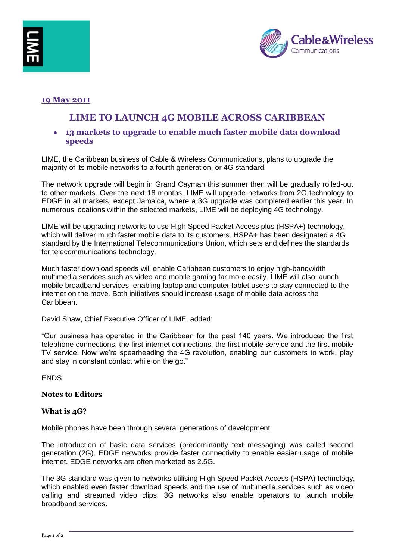



## **19 May 2011**

# **LIME TO LAUNCH 4G MOBILE ACROSS CARIBBEAN**

**13 markets to upgrade to enable much faster mobile data download speeds**

LIME, the Caribbean business of Cable & Wireless Communications, plans to upgrade the majority of its mobile networks to a fourth generation, or 4G standard.

The network upgrade will begin in Grand Cayman this summer then will be gradually rolled-out to other markets. Over the next 18 months, LIME will upgrade networks from 2G technology to EDGE in all markets, except Jamaica, where a 3G upgrade was completed earlier this year. In numerous locations within the selected markets, LIME will be deploying 4G technology.

LIME will be upgrading networks to use High Speed Packet Access plus (HSPA+) technology, which will deliver much faster mobile data to its customers. HSPA+ has been designated a 4G standard by the International Telecommunications Union, which sets and defines the standards for telecommunications technology.

Much faster download speeds will enable Caribbean customers to enjoy high-bandwidth multimedia services such as video and mobile gaming far more easily. LIME will also launch mobile broadband services, enabling laptop and computer tablet users to stay connected to the internet on the move. Both initiatives should increase usage of mobile data across the Caribbean.

David Shaw, Chief Executive Officer of LIME, added:

"Our business has operated in the Caribbean for the past 140 years. We introduced the first telephone connections, the first internet connections, the first mobile service and the first mobile TV service. Now we're spearheading the 4G revolution, enabling our customers to work, play and stay in constant contact while on the go."

**FNDS** 

## **Notes to Editors**

#### **What is 4G?**

Mobile phones have been through several generations of development.

The introduction of basic data services (predominantly text messaging) was called second generation (2G). EDGE networks provide faster connectivity to enable easier usage of mobile internet. EDGE networks are often marketed as 2.5G.

The 3G standard was given to networks utilising High Speed Packet Access (HSPA) technology, which enabled even faster download speeds and the use of multimedia services such as video calling and streamed video clips. 3G networks also enable operators to launch mobile broadband services.